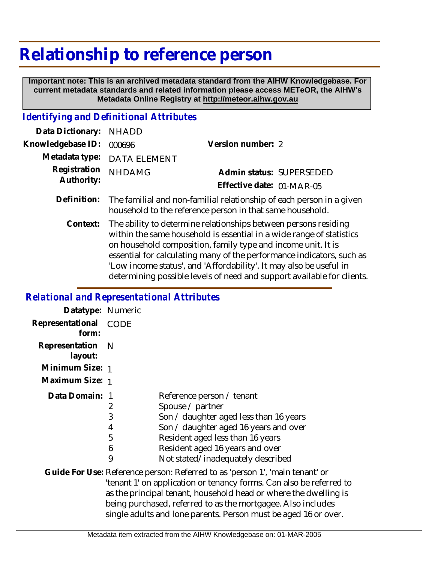## **Relationship to reference person**

 **Important note: This is an archived metadata standard from the AIHW Knowledgebase. For current metadata standards and related information please access METeOR, the AIHW's Metadata Online Registry at http://meteor.aihw.gov.au**

## *Identifying and Definitional Attributes*

| Data Dictionary: NHADD            |                             |                           |  |
|-----------------------------------|-----------------------------|---------------------------|--|
| Knowledgebase ID: 000696          |                             | Version number: 2         |  |
|                                   | Metadata type: DATA ELEMENT |                           |  |
| Registration NHDAMG<br>Authority: |                             | Admin status: SUPERSEDED  |  |
|                                   |                             | Effective date: 01-MAR-05 |  |
|                                   |                             |                           |  |

- The familial and non-familial relationship of each person in a given household to the reference person in that same household. **Definition:**
	- The ability to determine relationships between persons residing within the same household is essential in a wide range of statistics on household composition, family type and income unit. It is essential for calculating many of the performance indicators, such as 'Low income status', and 'Affordability'. It may also be useful in determining possible levels of need and support available for clients. **Context:**

## *Relational and Representational Attributes*

| Datatype: Numeric         |                            |                                                                                                                                                                                                                                                                                                                                                            |
|---------------------------|----------------------------|------------------------------------------------------------------------------------------------------------------------------------------------------------------------------------------------------------------------------------------------------------------------------------------------------------------------------------------------------------|
| Representational<br>form: | <b>CODE</b>                |                                                                                                                                                                                                                                                                                                                                                            |
| Representation<br>layout: | N                          |                                                                                                                                                                                                                                                                                                                                                            |
| Minimum Size: 1           |                            |                                                                                                                                                                                                                                                                                                                                                            |
| Maximum Size: 1           |                            |                                                                                                                                                                                                                                                                                                                                                            |
| Data Domain:              | 2<br>3<br>4<br>5<br>6<br>9 | Reference person / tenant<br>Spouse / partner<br>Son / daughter aged less than 16 years<br>Son / daughter aged 16 years and over<br>Resident aged less than 16 years<br>Resident aged 16 years and over<br>Not stated/inadequately described                                                                                                               |
|                           |                            | Guide For Use: Reference person: Referred to as 'person 1', 'main tenant' or<br>'tenant 1' on application or tenancy forms. Can also be referred to<br>as the principal tenant, household head or where the dwelling is<br>being purchased, referred to as the mortgagee. Also includes<br>single adults and lone parents. Person must be aged 16 or over. |